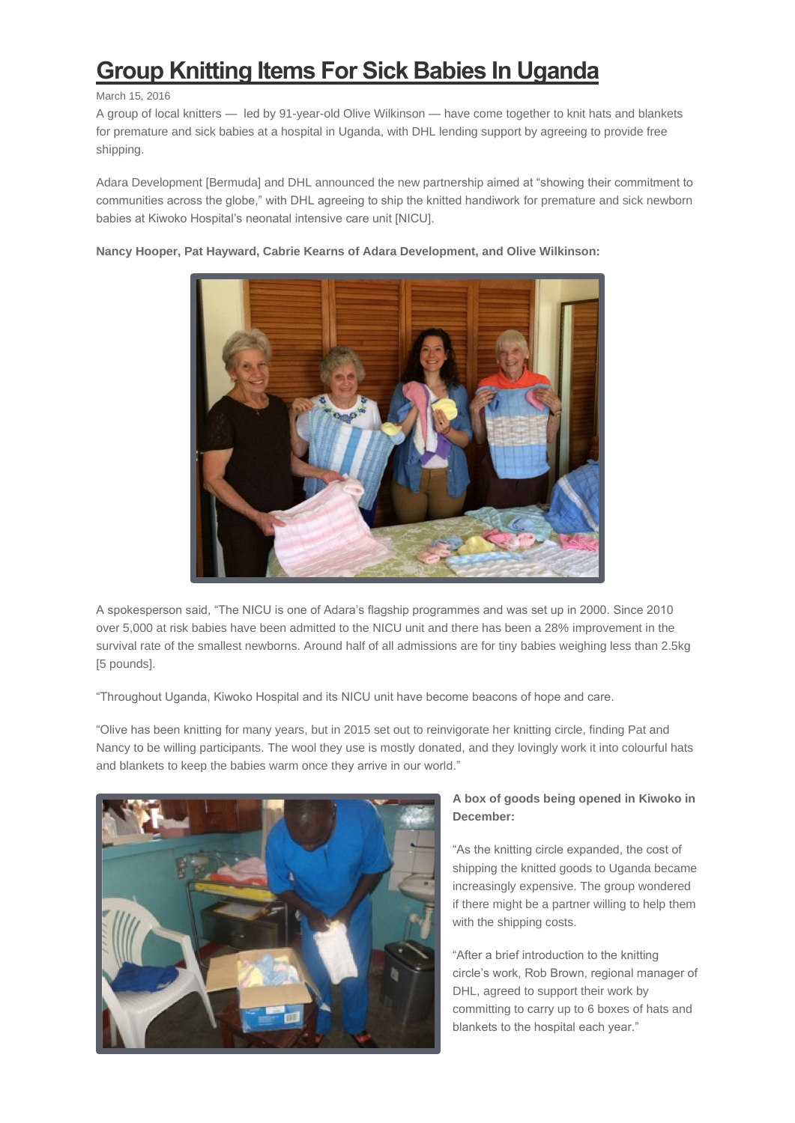## **[Group Knitting Items For Sick Babies In Uganda](http://bernews.com/2016/03/group-knitting-items-for-sick-babies-in-uganda/)**

## March 15, 2016

A group of local knitters — led by 91-year-old Olive Wilkinson — have come together to knit hats and blankets for premature and sick babies at a hospital in Uganda, with DHL lending support by agreeing to provide free shipping.

Adara Development [Bermuda] and DHL announced the new partnership aimed at "showing their commitment to communities across the globe," with DHL agreeing to ship the knitted handiwork for premature and sick newborn babies at Kiwoko Hospital's neonatal intensive care unit [NICU].



**Nancy Hooper, Pat Hayward, Cabrie Kearns of Adara Development, and Olive Wilkinson:**

A spokesperson said, "The NICU is one of Adara's flagship programmes and was set up in 2000. Since 2010 over 5,000 at risk babies have been admitted to the NICU unit and there has been a 28% improvement in the survival rate of the smallest newborns. Around half of all admissions are for tiny babies weighing less than 2.5kg [5 pounds].

"Throughout Uganda, Kiwoko Hospital and its NICU unit have become beacons of hope and care.

"Olive has been knitting for many years, but in 2015 set out to reinvigorate her knitting circle, finding Pat and Nancy to be willing participants. The wool they use is mostly donated, and they lovingly work it into colourful hats and blankets to keep the babies warm once they arrive in our world."



## **A box of goods being opened in Kiwoko in December:**

"As the knitting circle expanded, the cost of shipping the knitted goods to Uganda became increasingly expensive. The group wondered if there might be a partner willing to help them with the shipping costs.

"After a brief introduction to the knitting circle's work, Rob Brown, regional manager of DHL, agreed to support their work by committing to carry up to 6 boxes of hats and blankets to the hospital each year."